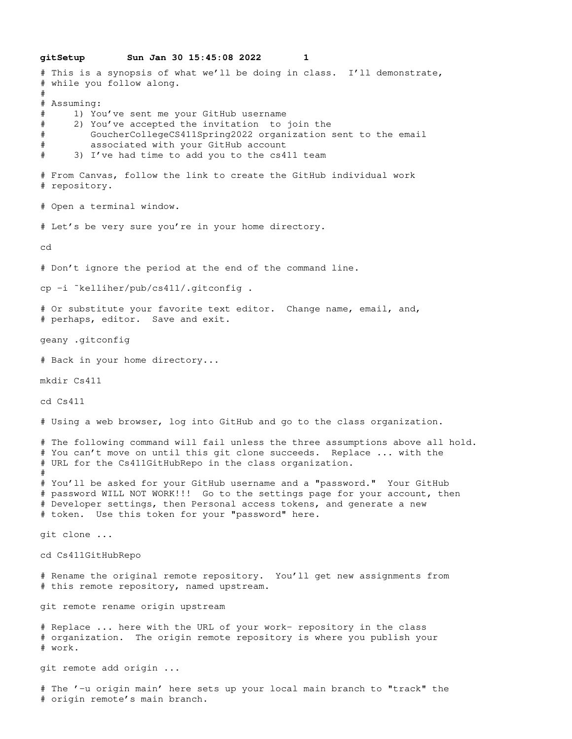**gitSetup Sun Jan 30 15:45:08 2022 1** # This is a synopsis of what we'll be doing in class. I'll demonstrate, # while you follow along. # # Assuming: # 1) You've sent me your GitHub username # 2) You've accepted the invitation to join the # GoucherCollegeCS411Spring2022 organization sent to the email # associated with your GitHub account # 3) I've had time to add you to the cs411 team # From Canvas, follow the link to create the GitHub individual work # repository. # Open a terminal window. # Let's be very sure you're in your home directory. cd # Don't ignore the period at the end of the command line. cp -i ˜kelliher/pub/cs411/.gitconfig . # Or substitute your favorite text editor. Change name, email, and, # perhaps, editor. Save and exit. geany .gitconfig # Back in your home directory... mkdir Cs411 cd Cs411 # Using a web browser, log into GitHub and go to the class organization. # The following command will fail unless the three assumptions above all hold. # You can't move on until this git clone succeeds. Replace ... with the # URL for the Cs411GitHubRepo in the class organization. # # You'll be asked for your GitHub username and a "password." Your GitHub # password WILL NOT WORK!!! Go to the settings page for your account, then # Developer settings, then Personal access tokens, and generate a new # token. Use this token for your "password" here. git clone ... cd Cs411GitHubRepo # Rename the original remote repository. You'll get new assignments from # this remote repository, named upstream. git remote rename origin upstream # Replace ... here with the URL of your work- repository in the class # organization. The origin remote repository is where you publish your # work. git remote add origin ... # The '-u origin main' here sets up your local main branch to "track" the # origin remote's main branch.